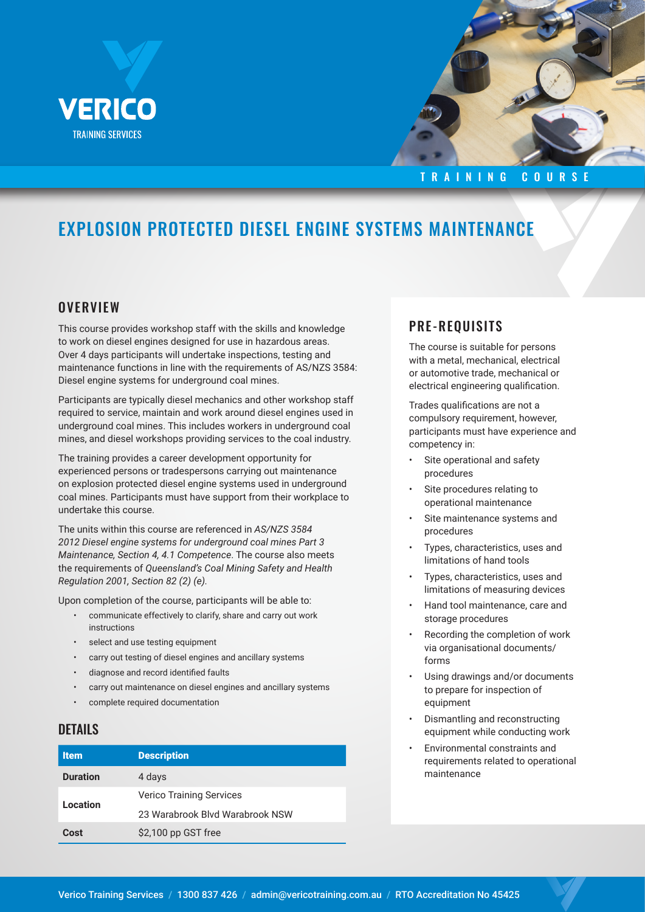



#### TRAINING COURSE

# EXPLOSION PROTECTED DIESEL ENGINE SYSTEMS MAINTENANCE

#### **OVERVIEW**

This course provides workshop staff with the skills and knowledge to work on diesel engines designed for use in hazardous areas. Over 4 days participants will undertake inspections, testing and maintenance functions in line with the requirements of AS/NZS 3584: Diesel engine systems for underground coal mines.

Participants are typically diesel mechanics and other workshop staff required to service, maintain and work around diesel engines used in underground coal mines. This includes workers in underground coal mines, and diesel workshops providing services to the coal industry.

The training provides a career development opportunity for experienced persons or tradespersons carrying out maintenance on explosion protected diesel engine systems used in underground coal mines. Participants must have support from their workplace to undertake this course.

The units within this course are referenced in *AS/NZS 3584 2012 Diesel engine systems for underground coal mines Part 3 Maintenance, Section 4, 4.1 Competence*. The course also meets the requirements of *Queensland's Coal Mining Safety and Health Regulation 2001, Section 82 (2) (e).*

Upon completion of the course, participants will be able to:

- communicate effectively to clarify, share and carry out work instructions
- select and use testing equipment
- carry out testing of diesel engines and ancillary systems
- diagnose and record identified faults
- carry out maintenance on diesel engines and ancillary systems
- complete required documentation

#### DETAILS

| <b>Item</b>     | <b>Description</b>              |
|-----------------|---------------------------------|
| <b>Duration</b> | 4 days                          |
|                 | <b>Verico Training Services</b> |
| Location        | 23 Warabrook Blvd Warabrook NSW |
| Cost            | \$2,100 pp GST free             |

## PRE-REQUISITS

The course is suitable for persons with a metal, mechanical, electrical or automotive trade, mechanical or electrical engineering qualification.

Trades qualifications are not a compulsory requirement, however, participants must have experience and competency in:

- Site operational and safety procedures
- Site procedures relating to operational maintenance
- Site maintenance systems and procedures
- Types, characteristics, uses and limitations of hand tools
- Types, characteristics, uses and limitations of measuring devices
- Hand tool maintenance, care and storage procedures
- Recording the completion of work via organisational documents/ forms
- Using drawings and/or documents to prepare for inspection of equipment
- Dismantling and reconstructing equipment while conducting work
- Environmental constraints and requirements related to operational maintenance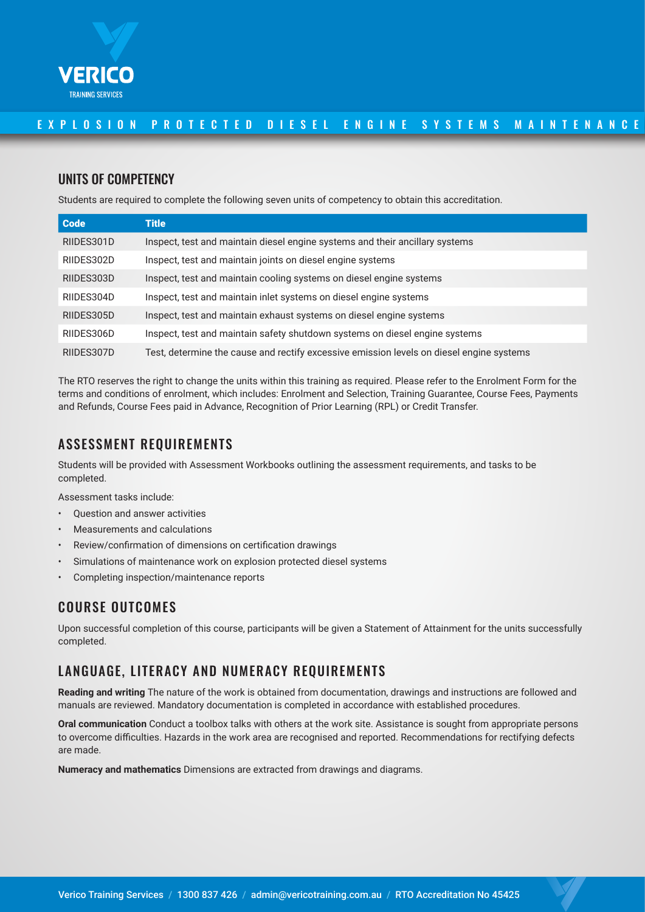

### E X P L O S I O N P R O T E C T E D D I E S E L E N G I N E S Y S T E M S M A I N T E N A N C E

### UNITS OF COMPETENCY

Students are required to complete the following seven units of competency to obtain this accreditation.

| <b>Code</b> | <b>Title</b>                                                                             |
|-------------|------------------------------------------------------------------------------------------|
| RIIDES301D  | Inspect, test and maintain diesel engine systems and their ancillary systems             |
| RIIDES302D  | Inspect, test and maintain joints on diesel engine systems                               |
| RIIDES303D  | Inspect, test and maintain cooling systems on diesel engine systems                      |
| RIIDES304D  | Inspect, test and maintain inlet systems on diesel engine systems                        |
| RIIDES305D  | Inspect, test and maintain exhaust systems on diesel engine systems                      |
| RIIDES306D  | Inspect, test and maintain safety shutdown systems on diesel engine systems              |
| RIIDES307D  | Test, determine the cause and rectify excessive emission levels on diesel engine systems |

The RTO reserves the right to change the units within this training as required. Please refer to the Enrolment Form for the terms and conditions of enrolment, which includes: Enrolment and Selection, Training Guarantee, Course Fees, Payments and Refunds, Course Fees paid in Advance, Recognition of Prior Learning (RPL) or Credit Transfer.

## ASSESSMENT REQUIREMENTS

Students will be provided with Assessment Workbooks outlining the assessment requirements, and tasks to be completed.

Assessment tasks include:

- Question and answer activities
- Measurements and calculations
- Review/confirmation of dimensions on certification drawings
- Simulations of maintenance work on explosion protected diesel systems
- Completing inspection/maintenance reports

## COURSE OUTCOMES

Upon successful completion of this course, participants will be given a Statement of Attainment for the units successfully completed.

## LANGUAGE, LITERACY AND NUMERACY REQUIREMENTS

**Reading and writing** The nature of the work is obtained from documentation, drawings and instructions are followed and manuals are reviewed. Mandatory documentation is completed in accordance with established procedures.

**Oral communication** Conduct a toolbox talks with others at the work site. Assistance is sought from appropriate persons to overcome difficulties. Hazards in the work area are recognised and reported. Recommendations for rectifying defects are made.

**Numeracy and mathematics** Dimensions are extracted from drawings and diagrams.